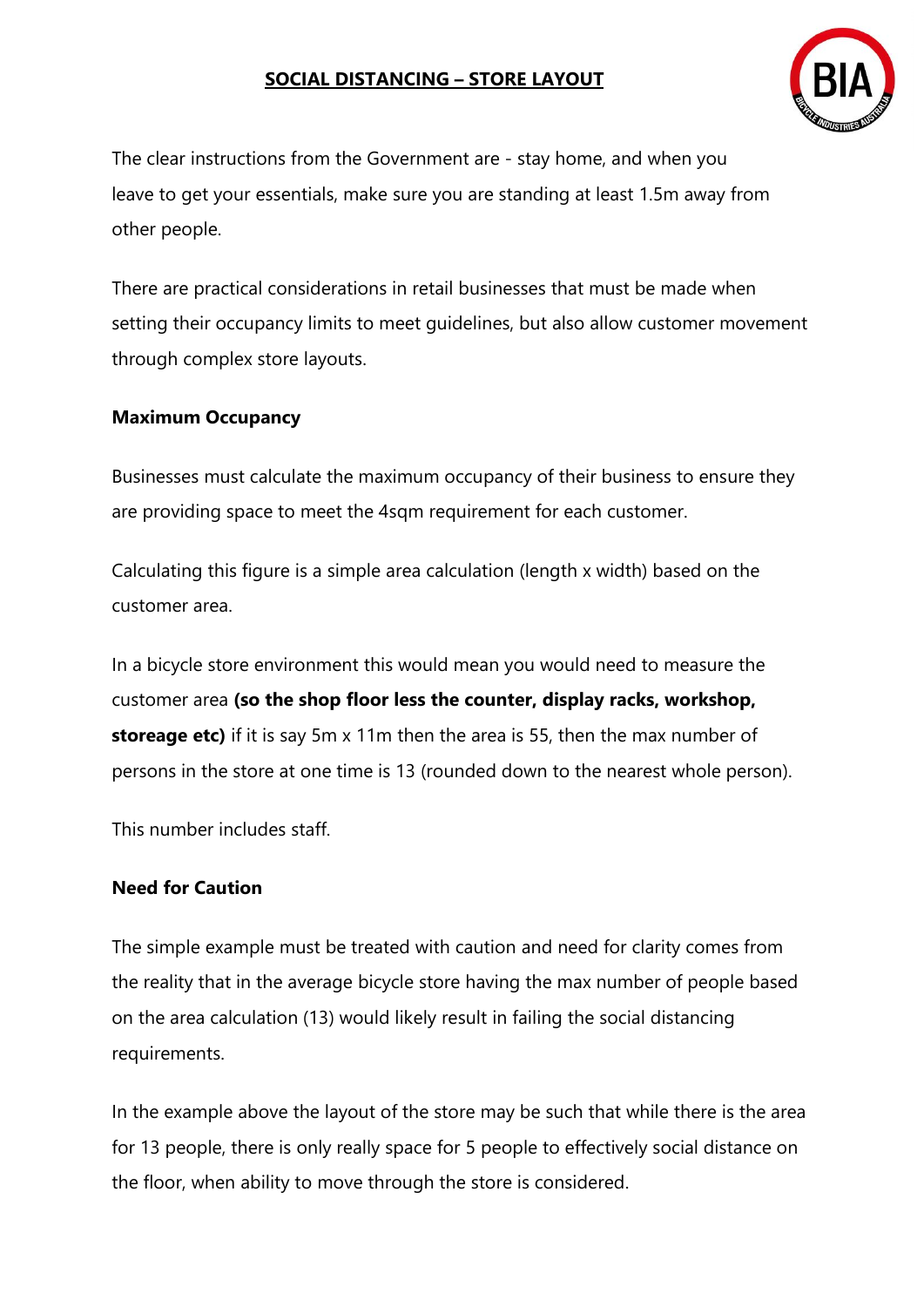

The clear instructions from the Government are - stay home, and when you leave to get your essentials, make sure you are standing at least 1.5m away from other people.

There are practical considerations in retail businesses that must be made when setting their occupancy limits to meet guidelines, but also allow customer movement through complex store layouts.

#### **Maximum Occupancy**

Businesses must calculate the maximum occupancy of their business to ensure they are providing space to meet the 4sqm requirement for each customer.

Calculating this figure is a simple area calculation (length x width) based on the customer area.

In a bicycle store environment this would mean you would need to measure the customer area **(so the shop floor less the counter, display racks, workshop, storeage etc)** if it is say 5m x 11m then the area is 55, then the max number of persons in the store at one time is 13 (rounded down to the nearest whole person).

This number includes staff.

#### **Need for Caution**

The simple example must be treated with caution and need for clarity comes from the reality that in the average bicycle store having the max number of people based on the area calculation (13) would likely result in failing the social distancing requirements.

In the example above the layout of the store may be such that while there is the area for 13 people, there is only really space for 5 people to effectively social distance on the floor, when ability to move through the store is considered.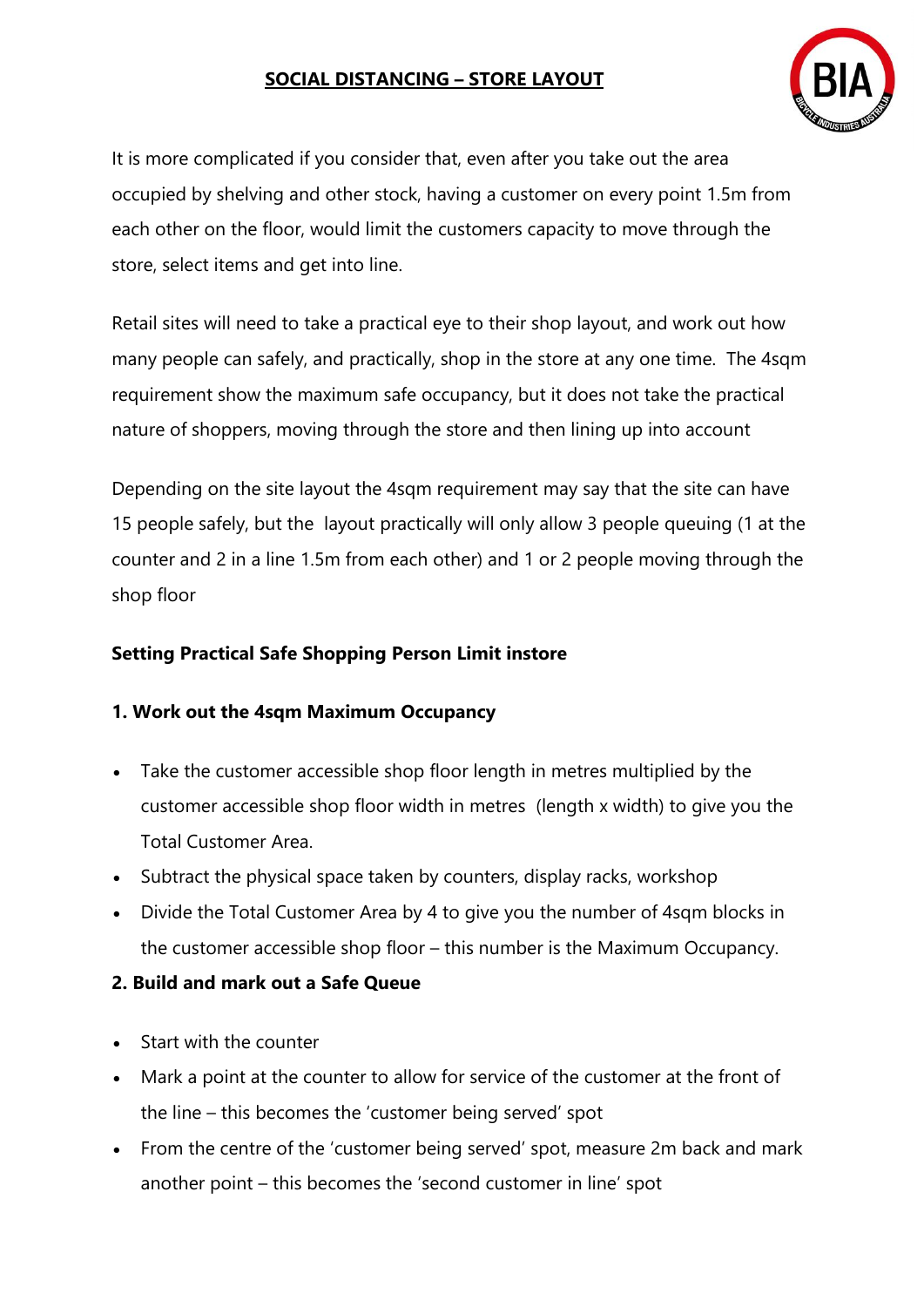

It is more complicated if you consider that, even after you take out the area occupied by shelving and other stock, having a customer on every point 1.5m from each other on the floor, would limit the customers capacity to move through the store, select items and get into line.

Retail sites will need to take a practical eye to their shop layout, and work out how many people can safely, and practically, shop in the store at any one time. The 4sqm requirement show the maximum safe occupancy, but it does not take the practical nature of shoppers, moving through the store and then lining up into account

Depending on the site layout the 4sqm requirement may say that the site can have 15 people safely, but the layout practically will only allow 3 people queuing (1 at the counter and 2 in a line 1.5m from each other) and 1 or 2 people moving through the shop floor

## **Setting Practical Safe Shopping Person Limit instore**

## **1. Work out the 4sqm Maximum Occupancy**

- Take the customer accessible shop floor length in metres multiplied by the customer accessible shop floor width in metres (length x width) to give you the Total Customer Area.
- Subtract the physical space taken by counters, display racks, workshop
- Divide the Total Customer Area by 4 to give you the number of 4sqm blocks in the customer accessible shop floor – this number is the Maximum Occupancy.

## **2. Build and mark out a Safe Queue**

- Start with the counter
- Mark a point at the counter to allow for service of the customer at the front of the line – this becomes the 'customer being served' spot
- From the centre of the 'customer being served' spot, measure 2m back and mark another point – this becomes the 'second customer in line' spot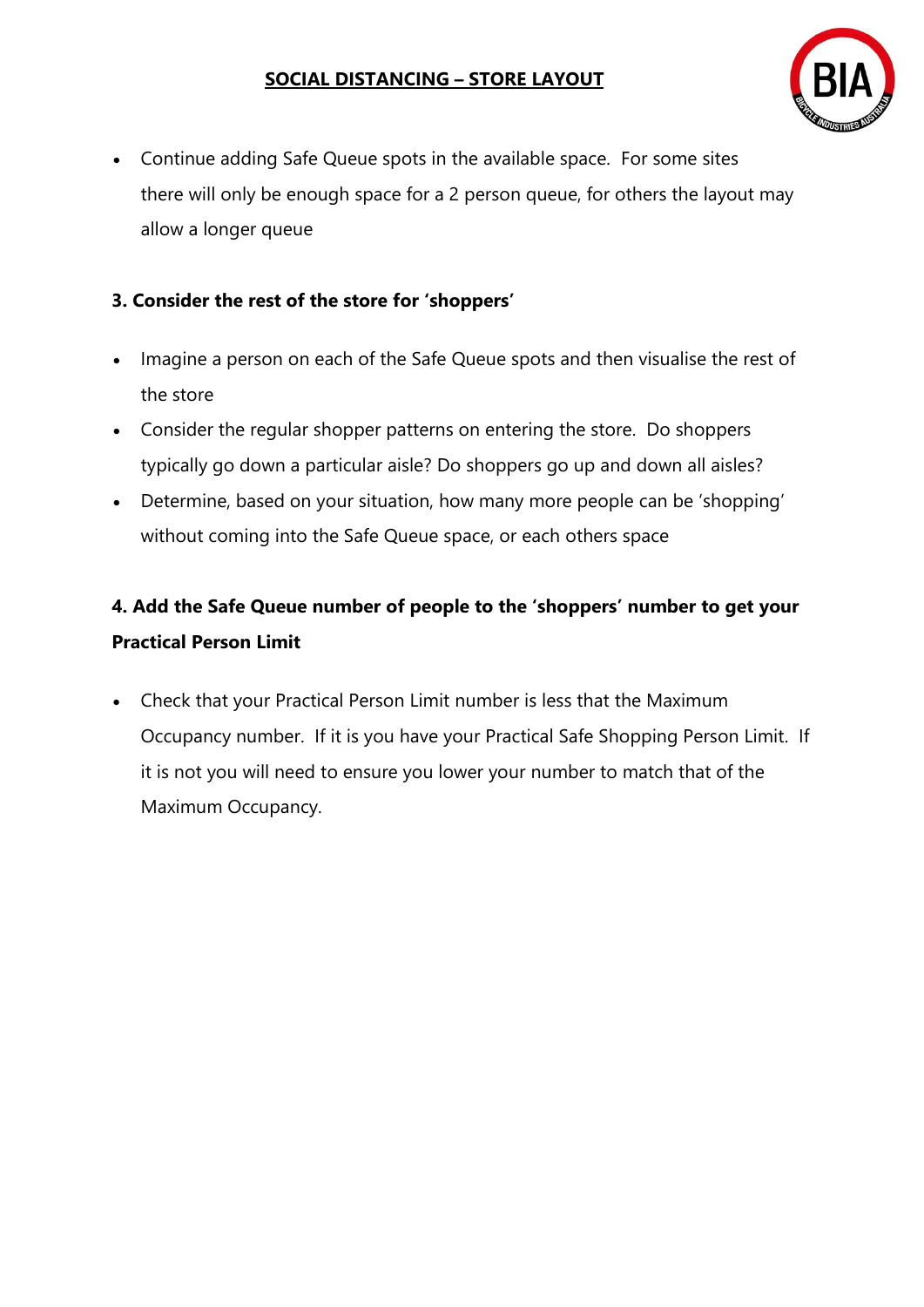

• Continue adding Safe Queue spots in the available space. For some sites there will only be enough space for a 2 person queue, for others the layout may allow a longer queue

# **3. Consider the rest of the store for 'shoppers'**

- Imagine a person on each of the Safe Queue spots and then visualise the rest of the store
- Consider the regular shopper patterns on entering the store. Do shoppers typically go down a particular aisle? Do shoppers go up and down all aisles?
- Determine, based on your situation, how many more people can be 'shopping' without coming into the Safe Queue space, or each others space

# **4. Add the Safe Queue number of people to the 'shoppers' number to get your Practical Person Limit**

• Check that your Practical Person Limit number is less that the Maximum Occupancy number. If it is you have your Practical Safe Shopping Person Limit. If it is not you will need to ensure you lower your number to match that of the Maximum Occupancy.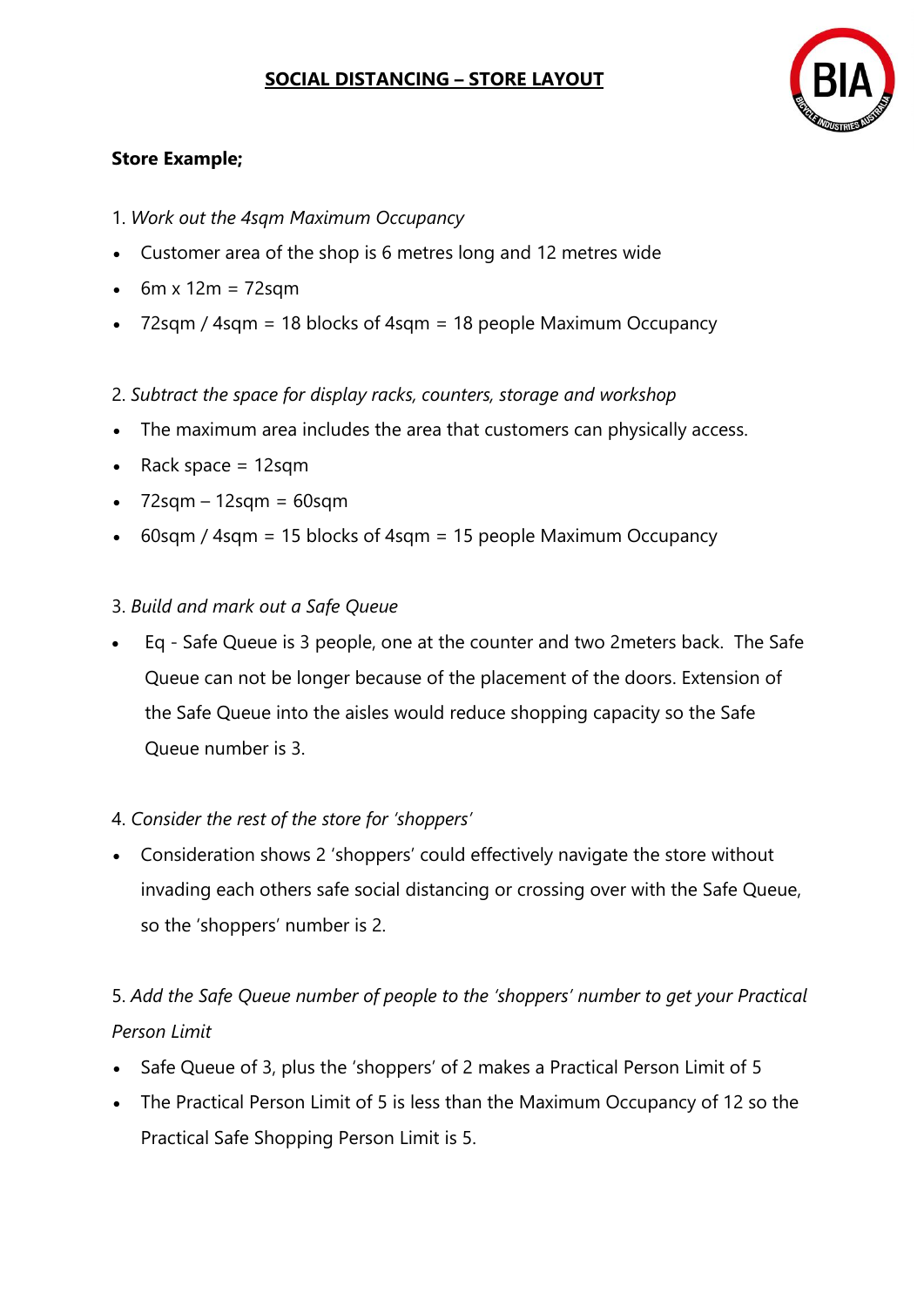

## **Store Example;**

- 1. *Work out the 4sqm Maximum Occupancy*
- Customer area of the shop is 6 metres long and 12 metres wide
- $\cdot$  6m x 12m = 72sqm
- 72sqm / 4sqm = 18 blocks of 4sqm = 18 people Maximum Occupancy
- 2. *Subtract the space for display racks, counters, storage and workshop*
- The maximum area includes the area that customers can physically access.
- Rack space = 12sqm
- $\bullet$  72sqm 12sqm = 60sqm
- 60sqm / 4sqm = 15 blocks of 4sqm = 15 people Maximum Occupancy

### 3. *Build and mark out a Safe Queue*

• Eq - Safe Queue is 3 people, one at the counter and two 2meters back. The Safe Queue can not be longer because of the placement of the doors. Extension of the Safe Queue into the aisles would reduce shopping capacity so the Safe Queue number is 3.

## 4. *Consider the rest of the store for 'shoppers'*

• Consideration shows 2 'shoppers' could effectively navigate the store without invading each others safe social distancing or crossing over with the Safe Queue, so the 'shoppers' number is 2.

# 5. *Add the Safe Queue number of people to the 'shoppers' number to get your Practical Person Limit*

- Safe Queue of 3, plus the 'shoppers' of 2 makes a Practical Person Limit of 5
- The Practical Person Limit of 5 is less than the Maximum Occupancy of 12 so the Practical Safe Shopping Person Limit is 5.